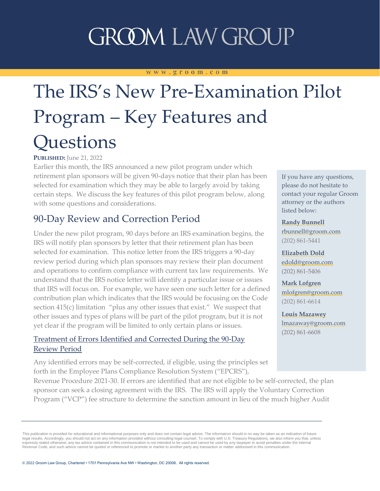# **GROOM LAW GROUP**

#### www.groom.com

# The IRS's New Pre-Examination Pilot Program – Key Features and **Ouestions**

#### **PUBLISHED:** June 21, 2022

Earlier this month, the IRS announced a new pilot program under which retirement plan sponsors will be given 90-days notice that their plan has been selected for examination which they may be able to largely avoid by taking certain steps. We discuss the key features of this pilot program below, along with some questions and considerations.

### 90-Day Review and Correction Period

Under the new pilot program, 90 days before an IRS examination begins, the IRS will notify plan sponsors by letter that their retirement plan has been selected for examination. This notice letter from the IRS triggers a 90-day review period during which plan sponsors may review their plan document and operations to confirm compliance with current tax law requirements. We understand that the IRS notice letter will identify a particular issue or issues that IRS will focus on. For example, we have seen one such letter for a defined contribution plan which indicates that the IRS would be focusing on the Code section 415(c) limitation "plus any other issues that exist." We suspect that other issues and types of plans will be part of the pilot program, but it is not yet clear if the program will be limited to only certain plans or issues.

#### Treatment of Errors Identified and Corrected During the 90-Day Review Period

Any identified errors may be self-corrected, if eligible, using the principles set forth in the Employee Plans Compliance Resolution System ("EPCRS"),

Revenue Procedure 2021-30. If errors are identified that are not eligible to be self-corrected, the plan sponsor can seek a closing agreement with the IRS. The IRS will apply the Voluntary Correction Program ("VCP") fee structure to determine the sanction amount in lieu of the much higher Audit

If you have any questions, please do not hesitate to contact your regular Groom attorney or the authors listed below:

**[Randy Bunnell](https://www.groom.com/bios/randy-bunnell/)** [rbunnell@groom.com](mailto:rbunnell@groom.com) (202) 861-5441

**[Elizabeth Dold](https://www.groom.com/bios/elizabeth-dold/)** [edold@groom.com](mailto:edold@groom.com) (202) 861-5406

**[Mark Lofgren](https://www.groom.com/bios/mark-lofgren/)** [mlofgren@groom.com](mailto:mlofgren@groom.com) (202) 861-6614

**[Louis Mazawey](https://www.groom.com/bios/louis-mazawey/)** [lmazaway@groom.com](mailto:lmazaway@groom.com) (202) 861-6608

This publication is provided for educational and informational purposes only and does not contain legal advice. The information should in no way be taken as an indication of future legal results. Accordingly, you should not act on any information provided without consulting legal counsel. To comply with U.S. Treasury Regulations, we also inform you that, unless expressly stated otherwise, any tax advice contained in this communication is not intended to be used and cannot be used by any taxpayer to avoid penalties under the Internal<br>Revenue Code, and such advice cannot be quoted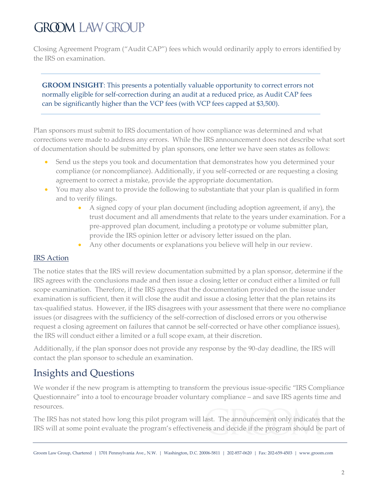## **GROOM LAW GROUP**

Closing Agreement Program ("Audit CAP") fees which would ordinarily apply to errors identified by the IRS on examination.

**GROOM INSIGHT**: This presents a potentially valuable opportunity to correct errors not normally eligible for self-correction during an audit at a reduced price, as Audit CAP fees can be significantly higher than the VCP fees (with VCP fees capped at \$3,500).

Plan sponsors must submit to IRS documentation of how compliance was determined and what corrections were made to address any errors. While the IRS announcement does not describe what sort of documentation should be submitted by plan sponsors, one letter we have seen states as follows:

- Send us the steps you took and documentation that demonstrates how you determined your compliance (or noncompliance). Additionally, if you self-corrected or are requesting a closing agreement to correct a mistake, provide the appropriate documentation.
- You may also want to provide the following to substantiate that your plan is qualified in form and to verify filings.
	- A signed copy of your plan document (including adoption agreement, if any), the trust document and all amendments that relate to the years under examination. For a pre-approved plan document, including a prototype or volume submitter plan, provide the IRS opinion letter or advisory letter issued on the plan.
	- Any other documents or explanations you believe will help in our review.

#### IRS Action

The notice states that the IRS will review documentation submitted by a plan sponsor, determine if the IRS agrees with the conclusions made and then issue a closing letter or conduct either a limited or full scope examination. Therefore, if the IRS agrees that the documentation provided on the issue under examination is sufficient, then it will close the audit and issue a closing letter that the plan retains its tax-qualified status. However, if the IRS disagrees with your assessment that there were no compliance issues (or disagrees with the sufficiency of the self-correction of disclosed errors or you otherwise request a closing agreement on failures that cannot be self-corrected or have other compliance issues), the IRS will conduct either a limited or a full scope exam, at their discretion.

Additionally, if the plan sponsor does not provide any response by the 90-day deadline, the IRS will contact the plan sponsor to schedule an examination.

### Insights and Questions

We wonder if the new program is attempting to transform the previous issue-specific "IRS Compliance Questionnaire" into a tool to encourage broader voluntary compliance – and save IRS agents time and resources.

The IRS has not stated how long this pilot program will last. The announcement only indicates that the IRS will at some point evaluate the program's effectiveness and decide if the program should be part of